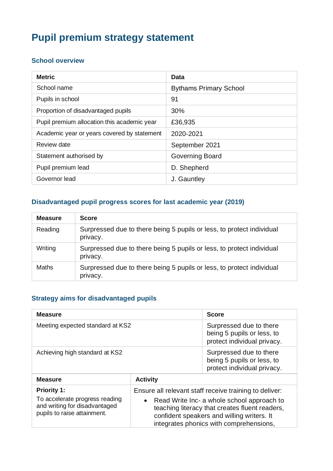# **Pupil premium strategy statement**

#### **School overview**

| <b>Metric</b>                               | <b>Data</b>                   |
|---------------------------------------------|-------------------------------|
| School name                                 | <b>Bythams Primary School</b> |
| Pupils in school                            | 91                            |
| Proportion of disadvantaged pupils          | 30%                           |
| Pupil premium allocation this academic year | £36,935                       |
| Academic year or years covered by statement | 2020-2021                     |
| Review date                                 | September 2021                |
| Statement authorised by                     | Governing Board               |
| Pupil premium lead                          | D. Shepherd                   |
| Governor lead                               | J. Gauntley                   |

### **Disadvantaged pupil progress scores for last academic year (2019)**

| <b>Measure</b> | <b>Score</b>                                                                      |
|----------------|-----------------------------------------------------------------------------------|
| Reading        | Surpressed due to there being 5 pupils or less, to protect individual<br>privacy. |
| Writing        | Surpressed due to there being 5 pupils or less, to protect individual<br>privacy. |
| Maths          | Surpressed due to there being 5 pupils or less, to protect individual<br>privacy. |

## **Strategy aims for disadvantaged pupils**

| <b>Measure</b>                                                                                                       |                 | <b>Score</b>                                                                                                                                                                                                                                    |
|----------------------------------------------------------------------------------------------------------------------|-----------------|-------------------------------------------------------------------------------------------------------------------------------------------------------------------------------------------------------------------------------------------------|
| Meeting expected standard at KS2                                                                                     |                 | Surpressed due to there<br>being 5 pupils or less, to<br>protect individual privacy.                                                                                                                                                            |
| Achieving high standard at KS2                                                                                       |                 | Surpressed due to there<br>being 5 pupils or less, to<br>protect individual privacy.                                                                                                                                                            |
| <b>Measure</b>                                                                                                       | <b>Activity</b> |                                                                                                                                                                                                                                                 |
| <b>Priority 1:</b><br>To accelerate progress reading<br>and writing for disadvantaged<br>pupils to raise attainment. |                 | Ensure all relevant staff receive training to deliver:<br>Read Write Inc- a whole school approach to<br>teaching literacy that creates fluent readers,<br>confident speakers and willing writers. It<br>integrates phonics with comprehensions, |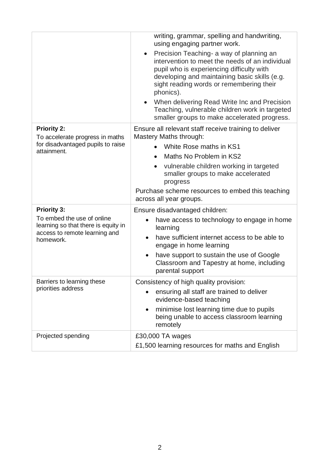|                                                                                                                                       | writing, grammar, spelling and handwriting,<br>using engaging partner work.<br>Precision Teaching- a way of planning an<br>$\bullet$<br>intervention to meet the needs of an individual<br>pupil who is experiencing difficulty with<br>developing and maintaining basic skills (e.g.<br>sight reading words or remembering their<br>phonics).<br>When delivering Read Write Inc and Precision<br>Teaching, vulnerable children work in targeted<br>smaller groups to make accelerated progress. |
|---------------------------------------------------------------------------------------------------------------------------------------|--------------------------------------------------------------------------------------------------------------------------------------------------------------------------------------------------------------------------------------------------------------------------------------------------------------------------------------------------------------------------------------------------------------------------------------------------------------------------------------------------|
| <b>Priority 2:</b><br>To accelerate progress in maths<br>for disadvantaged pupils to raise<br>attainment.                             | Ensure all relevant staff receive training to deliver<br>Mastery Maths through:<br>White Rose maths in KS1<br>Maths No Problem in KS2<br>vulnerable children working in targeted<br>smaller groups to make accelerated<br>progress<br>Purchase scheme resources to embed this teaching<br>across all year groups.                                                                                                                                                                                |
| <b>Priority 3:</b><br>To embed the use of online<br>learning so that there is equity in<br>access to remote learning and<br>homework. | Ensure disadvantaged children:<br>have access to technology to engage in home<br>$\bullet$<br>learning<br>have sufficient internet access to be able to<br>$\bullet$<br>engage in home learning<br>have support to sustain the use of Google<br>Classroom and Tapestry at home, including<br>parental support                                                                                                                                                                                    |
| Barriers to learning these<br>priorities address                                                                                      | Consistency of high quality provision:<br>ensuring all staff are trained to deliver<br>evidence-based teaching<br>minimise lost learning time due to pupils<br>$\bullet$<br>being unable to access classroom learning<br>remotely                                                                                                                                                                                                                                                                |
| Projected spending                                                                                                                    | £30,000 TA wages<br>£1,500 learning resources for maths and English                                                                                                                                                                                                                                                                                                                                                                                                                              |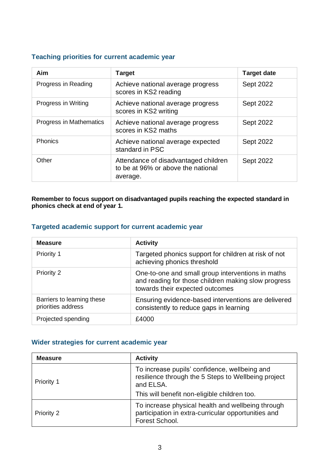# **Teaching priorities for current academic year**

| Aim                     | <b>Target</b>                                                                          | <b>Target date</b> |
|-------------------------|----------------------------------------------------------------------------------------|--------------------|
| Progress in Reading     | Achieve national average progress<br>scores in KS2 reading                             | Sept 2022          |
| Progress in Writing     | Achieve national average progress<br>scores in KS2 writing                             | Sept 2022          |
| Progress in Mathematics | Achieve national average progress<br>scores in KS2 maths                               | Sept 2022          |
| <b>Phonics</b>          | Achieve national average expected<br>standard in PSC                                   | <b>Sept 2022</b>   |
| Other                   | Attendance of disadvantaged children<br>to be at 96% or above the national<br>average. | Sept 2022          |

**Remember to focus support on disadvantaged pupils reaching the expected standard in phonics check at end of year 1.**

#### **Targeted academic support for current academic year**

| <b>Measure</b>                                   | <b>Activity</b>                                                                                                                             |
|--------------------------------------------------|---------------------------------------------------------------------------------------------------------------------------------------------|
| Priority 1                                       | Targeted phonics support for children at risk of not<br>achieving phonics threshold                                                         |
| Priority 2                                       | One-to-one and small group interventions in maths<br>and reading for those children making slow progress<br>towards their expected outcomes |
| Barriers to learning these<br>priorities address | Ensuring evidence-based interventions are delivered<br>consistently to reduce gaps in learning                                              |
| Projected spending                               | £4000                                                                                                                                       |

#### **Wider strategies for current academic year**

| <b>Measure</b> | <b>Activity</b>                                                                                                            |  |
|----------------|----------------------------------------------------------------------------------------------------------------------------|--|
| Priority 1     | To increase pupils' confidence, wellbeing and<br>resilience through the 5 Steps to Wellbeing project<br>and ELSA.          |  |
|                | This will benefit non-eligible children too.                                                                               |  |
| Priority 2     | To increase physical health and wellbeing through<br>participation in extra-curricular opportunities and<br>Forest School. |  |